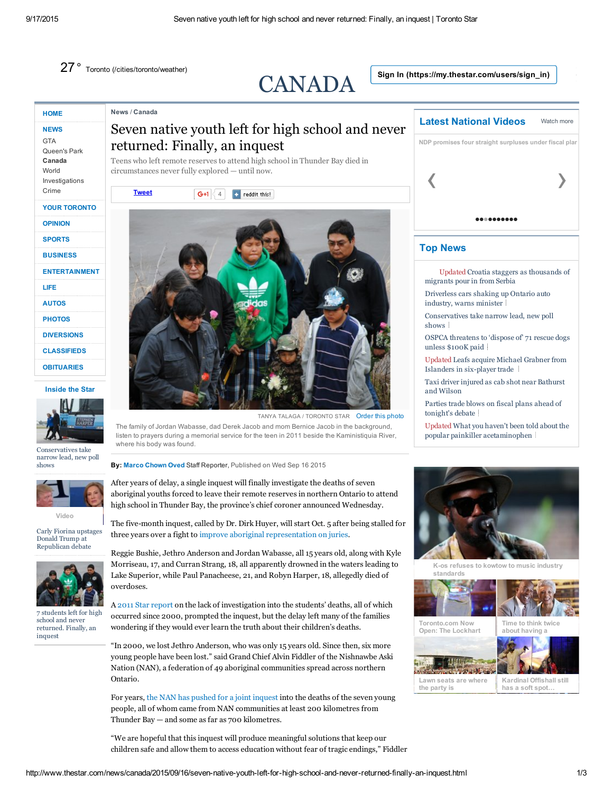27° Toronto [\(/cities/toronto/weather\)](http://www.thestar.com/cities/toronto/weather)

[News](http://www.thestar.com/news.html) / [Canada](http://www.thestar.com/news/canada.html)

returned: Finally, an inquest

Teens who left remote reserves to attend high school in Thunder Bay died in

# [CANADA](http://www.thestar.com/news/canada.html)

Sign In [\(https://my.thestar.com/users/sign\\_in\)](https://my.thestar.com/users/sign_in)

# **[HOME](http://www.thestar.com/)**

#### **[NEWS](http://www.thestar.com/news.html) [GTA](http://www.thestar.com/news/gta.html)**

[Queen's](http://www.thestar.com/news/queenspark.html) Park [Canada](http://www.thestar.com/news/canada.html) [World](http://www.thestar.com/news/world.html) [Investigations](http://www.thestar.com/news/investigations.html) [Crime](http://www.thestar.com/news/crime.html)

### YOUR [TORONTO](http://www.thestar.com/yourtoronto.html)

#### [OPINION](http://www.thestar.com/opinion.html)

#### [SPORTS](http://www.thestar.com/sports.html)

**[BUSINESS](http://www.thestar.com/business.html)** 

#### [ENTERTAINMENT](http://www.thestar.com/entertainment.html)

[LIFE](http://www.thestar.com/life.html)

[AUTOS](http://www.thestar.com/autos.html)

**[PHOTOS](http://www.thestar.com/photos.html)** 

[DIVERSIONS](http://www.thestar.com/diversions.html)

**[CLASSIFIEDS](http://www.thestar.com/classifieds) [OBITUARIES](http://www.legacy.com/obituaries/thestar/)** 

#### Inside the Star



[Conservatives](http://www.thestar.com/news/federal-election/2015/09/17/conservatives-take-narrow-lead-new-poll-shows.html) take narrow lead, new poll shows



[Video](http://www.thestar.com/news/world/2015/09/16/lindsey-graham-stands-out-during-republican-presidential-debate.html)

Carly Fiorina upstages Donald Trump at [Republican](http://www.thestar.com/news/world/2015/09/16/lindsey-graham-stands-out-during-republican-presidential-debate.html) debate



7 students left for high school and never [returned.](http://www.thestar.com/news/canada/2015/09/16/seven-native-youth-left-for-high-school-and-never-returned-finally-an-inquest.html) Finally, an inquest



The family of Jordan Wabasse, dad Derek Jacob and mom Bernice Jacob in the background, listen to prayers during a memorial service for the teen in 2011 beside the Kaministiquia River, where his body was found.

By: Marco [Chown](http://www.thestar.com/authors.oved_marco.html) Oved Staff Reporter, Published on Wed Sep 16 2015

After years of delay, a single inquest will finally investigate the deaths of seven aboriginal youths forced to leave their remote reserves in northern Ontario to attend high school in Thunder Bay, the province's chief coroner announced Wednesday.

The five-month inquest, called by Dr. Dirk Huyer, will start Oct. 5 after being stalled for three years over a fight to improve aboriginal [representation](https://www.thestar.com/news/canada/2015/03/04/new-ontario-regulation-paves-way-for-aboriginal-inquests-to-proceed.html) on juries.

Reggie Bushie, Jethro Anderson and Jordan Wabasse, all 15 years old, along with Kyle Morriseau, 17, and Curran Strang, 18, all apparently drowned in the waters leading to Lake Superior, while Paul Panacheese, 21, and Robyn Harper, 18, allegedly died of overdoses.

A 2011 Star [report](https://www.thestar.com/news/canada/2011/05/08/seven_native_teens_dead_or_missing_while_away_at_school.html) on the lack of investigation into the students' deaths, all of which occurred since 2000, prompted the inquest, but the delay left many of the families wondering if they would ever learn the truth about their children's deaths.

"In 2000, we lost Jethro Anderson, who was only 15 years old. Since then, six more young people have been lost." said Grand Chief Alvin Fiddler of the Nishnawbe Aski Nation (NAN), a federation of 49 aboriginal communities spread across northern Ontario.

For years, the NAN has pushed for a joint [inquest](https://www.thestar.com/news/canada/2011/05/13/cries_for_inquiry_into_native_teens_deaths_grow_louder.html) into the deaths of the seven young people, all of whom came from NAN communities at least 200 kilometres from Thunder Bay — and some as far as 700 kilometres.

"We are hopeful that this inquest will produce meaningful solutions that keep our children safe and allow them to access education without fear of tragic endings," Fiddler



# Top News

- Updated Croatia staggers as [thousands](http://www.thestar.com/news/world/2015/09/17/croatia-staggers-under-influx-of-migrants.html) of migrants pour in from Serbia
- [Driverless](http://www.thestar.com/news/gta/transportation/2015/09/17/driver-less-cars-shaking-up-ontarios-auto-industry-warns-minister.html) cars shaking up Ontario auto industry, warns minister
- [Conservatives](http://www.thestar.com/news/federal-election/2015/09/17/conservatives-take-narrow-lead-new-poll-shows.html) take narrow lead, new poll shows
- OSPCA [threatens](http://www.thestar.com/news/gta/2015/09/17/ospca-threatens-to-dispose-of-71-rescue-dogs-unless-100k-paid.html) to 'dispose of' 71 rescue dogs unless \$100K paid
- Updated Leafs acquire Michael Grabner from Islanders in six-player trade
- Taxi driver injured as cab shot near [Bathurst](http://www.thestar.com/news/crime/2015/09/17/taxi-driver-injured-as-cab-shot.html) and Wilson

Parties trade blows on fiscal plans ahead of [tonight's](http://www.thestar.com/news/federal-election/2015/09/17/federal-leaders-battle-it-out-at-debate-in-calgary-tonight.html) debate

Updated What you haven't been told about the popular painkiller [acetaminophen](http://www.thestar.com/life/health_wellness/2015/09/17/up-to-68-canadians-on-average-die-from-acetaminophen-annually.html)



K-os refuses to kowtow to music industry [standards](http://www.thestar.com/entertainment/music/newsroom-concert-series/2015/09/05/k-os-refuses-to-kowtow-to-music-industry-standards.html)

[Toronto.com](http://www.toronto.com/restaurants/articles/now-open-the-lockhart/) Now Open: The Lockhart





Lawn seats are [where](http://www.thestar.com/sponsored_sections/musiconthewaterfront/2015/07/08/lawn-seats-are-where-the-party-is.html) the party is

[Kardinal](http://www.thestar.com/autos/2015/09/12/kardinal-offishall-still-has-a-soft-spot-for-the-zippy-oldsmobile-alero.html) Offishall still has a soft spot…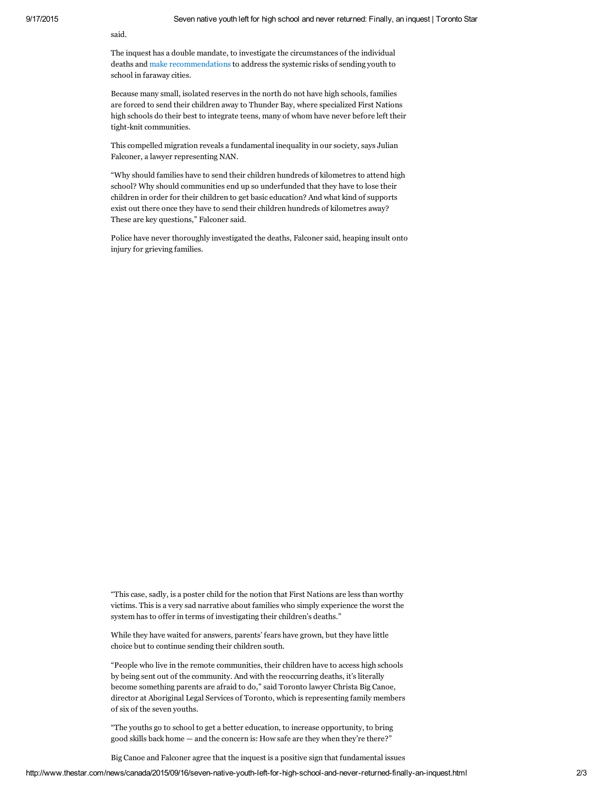said.

The inquest has a double mandate, to investigate the circumstances of the individual deaths and make [recommendations](https://www.thestar.com/news/ontario/2012/05/23/broad_inquest_into_deaths_of_seven_native_teens_a_step_closer.html) to address the systemic risks of sending youth to school in faraway cities.

Because many small, isolated reserves in the north do not have high schools, families are forced to send their children away to Thunder Bay, where specialized First Nations high schools do their best to integrate teens, many of whom have never before left their tight-knit communities.

This compelled migration reveals a fundamental inequality in our society, says Julian Falconer, a lawyer representing NAN.

"Why should families have to send their children hundreds of kilometres to attend high school? Why should communities end up so underfunded that they have to lose their children in order for their children to get basic education? And what kind of supports exist out there once they have to send their children hundreds of kilometres away? These are key questions," Falconer said.

Police have never thoroughly investigated the deaths, Falconer said, heaping insult onto injury for grieving families.

"This case, sadly, is a poster child for the notion that First Nations are less than worthy victims. This is a very sad narrative about families who simply experience the worst the system has to offer in terms of investigating their children's deaths."

While they have waited for answers, parents' fears have grown, but they have little choice but to continue sending their children south.

"People who live in the remote communities, their children have to access high schools by being sent out of the community. And with the reoccurring deaths, it's literally become something parents are afraid to do," said Toronto lawyer Christa Big Canoe, director at Aboriginal Legal Services of Toronto, which is representing family members of six of the seven youths.

"The youths go to school to get a better education, to increase opportunity, to bring good skills back home — and the concern is: How safe are they when they're there?"

Big Canoe and Falconer agree that the inquest is a positive sign that fundamental issues